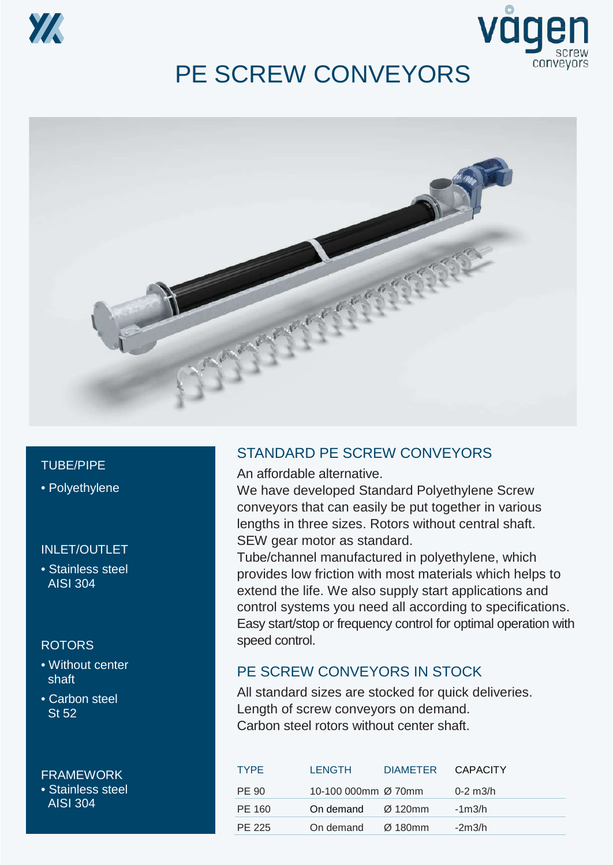



## PE SCREW CONVEYORS



#### TUBE/PIPE

• Polyethylene

#### INLET/OUTLET

• Stainless steel AISI 304

#### ROTORS

- Without center shaft
- Carbon steel St 52

FRAMEWORK • Stainless steel AISI 304

#### STANDARD PE SCREW CONVEYORS

An affordable alternative.

We have developed Standard Polyethylene Screw conveyors that can easily be put together in various lengths in three sizes. Rotors without central shaft. SEW gear motor as standard.

Tube/channel manufactured in polyethylene, which provides low friction with most materials which helps to extend the life. We also supply start applications and control systems you need all according to specifications. Easy start/stop or frequency control for optimal operation with speed control.

#### PE SCREW CONVEYORS IN STOCK

All standard sizes are stocked for quick deliveries. Length of screw conveyors on demand. Carbon steel rotors without center shaft.

| <b>TYPF</b> | <b>LENGTH</b>       | DIAMETER CAPACITY |                 |
|-------------|---------------------|-------------------|-----------------|
| PE 90       | 10-100 000mm Ø 70mm |                   | $0 - 2$ m $3/h$ |
| PE 160      | On demand           | Ø 120mm           | $-1m3/h$        |
| PE 225      | On demand           | Ø 180mm           | $-2m3/h$        |